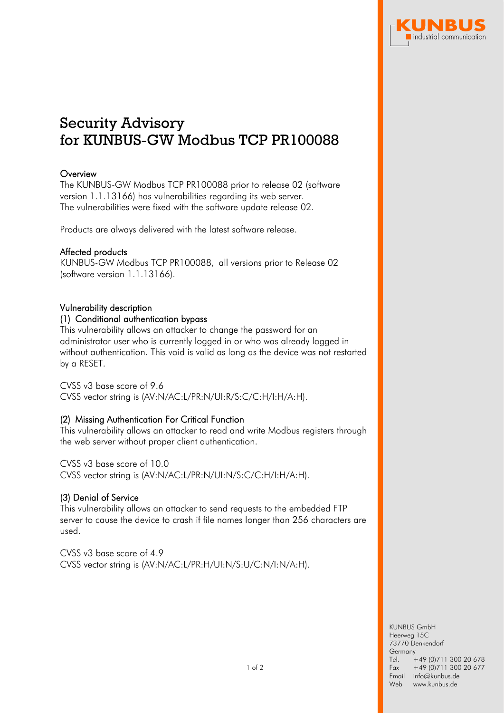

# Security Advisory for KUNBUS-GW Modbus TCP PR100088

# **Overview**

The KUNBUS-GW Modbus TCP PR100088 prior to release 02 (software version 1.1.13166) has vulnerabilities regarding its web server. The vulnerabilities were fixed with the software update release 02.

Products are always delivered with the latest software release.

# Affected products

KUNBUS-GW Modbus TCP PR100088, all versions prior to Release 02 (software version 1.1.13166).

### Vulnerability description

# (1) Conditional authentication bypass

This vulnerability allows an attacker to change the password for an administrator user who is currently logged in or who was already logged in without authentication. This void is valid as long as the device was not restarted by a RESET.

#### CVSS v3 base score of 9.6

CVSS vector string is (AV:N/AC:L/PR:N/UI:R/S:C/C:H/I:H/A:H).

# (2) Missing Authentication For Critical Function

This vulnerability allows an attacker to read and write Modbus registers through the web server without proper client authentication.

CVSS v3 base score of 10.0 CVSS vector string is (AV:N/AC:L/PR:N/UI:N/S:C/C:H/I:H/A:H).

# (3) Denial of Service

This vulnerability allows an attacker to send requests to the embedded FTP server to cause the device to crash if file names longer than 256 characters are used.

CVSS v3 base score of 4.9 CVSS vector string is (AV:N/AC:L/PR:H/UI:N/S:U/C:N/I:N/A:H).

> KUNBUS GmbH Heerweg 15C 73770 Denkendorf **Germany** Tel. Fax  $+49$  (0)711 300 20 678 +49 (0)711 300 20 677 Email info@kunbus.de Web www.kunbus.de